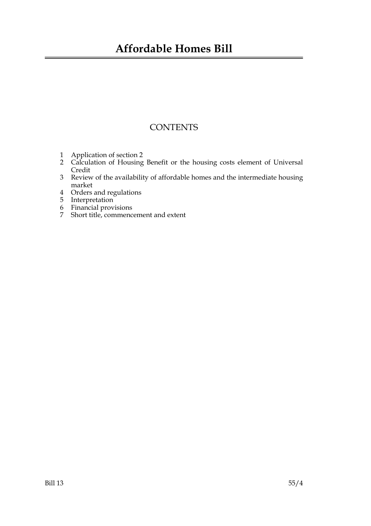### **Affordable Homes Bill**

### **CONTENTS**

- 1 Application of section 2
- 2 Calculation of Housing Benefit or the housing costs element of Universal Credit
- 3 Review of the availability of affordable homes and the intermediate housing market
- 4 Orders and regulations
- 5 Interpretation
- 6 Financial provisions
- 7 Short title, commencement and extent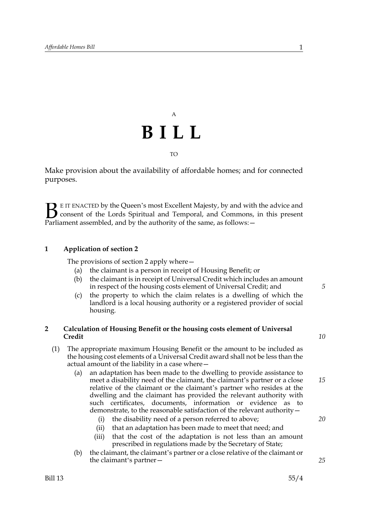## A **BILL** TO

Make provision about the availability of affordable homes; and for connected purposes.

E IT ENACTED by the Queen's most Excellent Majesty, by and with the advice and consent of the Lords Spiritual and Temporal, and Commons, in this present **B** E IT ENACTED by the Queen's most Excellent Majesty, by and with consent of the Lords Spiritual and Temporal, and Commons, Parliament assembled, and by the authority of the same, as follows:  $-$ 

### **1 Application of section 2**

The provisions of section 2 apply where—

- (a) the claimant is a person in receipt of Housing Benefit; or
- (b) the claimant is in receipt of Universal Credit which includes an amount in respect of the housing costs element of Universal Credit; and
- (c) the property to which the claim relates is a dwelling of which the landlord is a local housing authority or a registered provider of social housing.

#### **2 Calculation of Housing Benefit or the housing costs element of Universal Credit**

- (1) The appropriate maximum Housing Benefit or the amount to be included as the housing cost elements of a Universal Credit award shall not be less than the actual amount of the liability in a case where—
	- (a) an adaptation has been made to the dwelling to provide assistance to meet a disability need of the claimant, the claimant's partner or a close relative of the claimant or the claimant's partner who resides at the dwelling and the claimant has provided the relevant authority with such certificates, documents, information or evidence as to demonstrate, to the reasonable satisfaction of the relevant authority—
		- (i) the disability need of a person referred to above;
		- (ii) that an adaptation has been made to meet that need; and
		- (iii) that the cost of the adaptation is not less than an amount prescribed in regulations made by the Secretary of State;
	- (b) the claimant, the claimant's partner or a close relative of the claimant or the claimant's partner—

*5*

*10*

*15*

*20*

*25*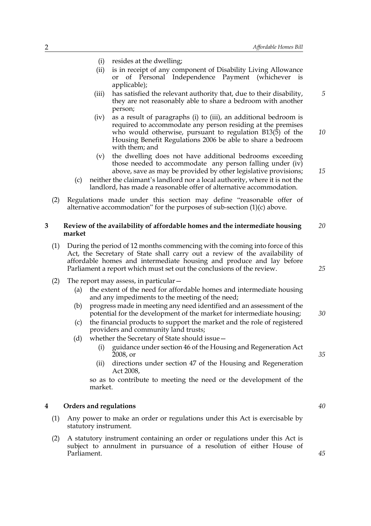*5*

*15*

*25*

- (i) resides at the dwelling;
- (ii) is in receipt of any component of Disability Living Allowance or of Personal Independence Payment (whichever is applicable);
- (iii) has satisfied the relevant authority that, due to their disability, they are not reasonably able to share a bedroom with another person;
- (iv) as a result of paragraphs (i) to (iii), an additional bedroom is required to accommodate any person residing at the premises who would otherwise, pursuant to regulation B13(5) of the Housing Benefit Regulations 2006 be able to share a bedroom with them; and *10*
- (v) the dwelling does not have additional bedrooms exceeding those needed to accommodate any person falling under (iv) above, save as may be provided by other legislative provisions;
- (c) neither the claimant's landlord nor a local authority, where it is not the landlord, has made a reasonable offer of alternative accommodation.
- (2) Regulations made under this section may define "reasonable offer of alternative accommodation" for the purposes of sub-section (1)(c) above.

#### **3 Review of the availability of affordable homes and the intermediate housing market** *20*

- (1) During the period of 12 months commencing with the coming into force of this Act, the Secretary of State shall carry out a review of the availability of affordable homes and intermediate housing and produce and lay before Parliament a report which must set out the conclusions of the review.
- (2) The report may assess, in particular—
	- (a) the extent of the need for affordable homes and intermediate housing and any impediments to the meeting of the need;
	- (b) progress made in meeting any need identified and an assessment of the potential for the development of the market for intermediate housing; *30*
	- (c) the financial products to support the market and the role of registered providers and community land trusts;
	- (d) whether the Secretary of State should issue—
		- (i) guidance under section 46 of the Housing and Regeneration Act 2008, or
		- (ii) directions under section 47 of the Housing and Regeneration Act 2008,

so as to contribute to meeting the need or the development of the market.

#### **4 Orders and regulations**

- (1) Any power to make an order or regulations under this Act is exercisable by statutory instrument.
- (2) A statutory instrument containing an order or regulations under this Act is subject to annulment in pursuance of a resolution of either House of Parliament.

*40*

*35*

*45*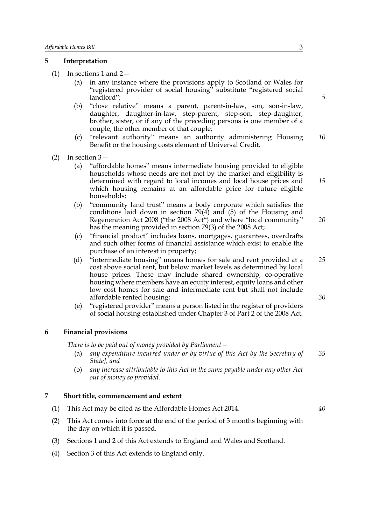#### **5 Interpretation**

- (1) In sections 1 and 2—
	- (a) in any instance where the provisions apply to Scotland or Wales for "registered provider of social housing" substitute "registered social landlord";
	- (b) "close relative" means a parent, parent-in-law, son, son-in-law, daughter, daughter-in-law, step-parent, step-son, step-daughter, brother, sister, or if any of the preceding persons is one member of a couple, the other member of that couple;
	- (c) "relevant authority" means an authority administering Housing Benefit or the housing costs element of Universal Credit. *10*
- $(2)$  In section  $3-$ 
	- (a) "affordable homes" means intermediate housing provided to eligible households whose needs are not met by the market and eligibility is determined with regard to local incomes and local house prices and which housing remains at an affordable price for future eligible households;
	- (b) "community land trust" means a body corporate which satisfies the conditions laid down in section 79(4) and (5) of the Housing and Regeneration Act 2008 ("the 2008 Act") and where "local community" has the meaning provided in section 79(3) of the 2008 Act;
	- (c) "financial product" includes loans, mortgages, guarantees, overdrafts and such other forms of financial assistance which exist to enable the purchase of an interest in property;
	- (d) "intermediate housing" means homes for sale and rent provided at a cost above social rent, but below market levels as determined by local house prices. These may include shared ownership, co-operative housing where members have an equity interest, equity loans and other low cost homes for sale and intermediate rent but shall not include affordable rented housing; *25 30*
	- (e) "registered provider" means a person listed in the register of providers of social housing established under Chapter 3 of Part 2 of the 2008 Act.

#### **6 Financial provisions**

*There is to be paid out of money provided by Parliament—*

- (a) *any expenditure incurred under or by virtue of this Act by the Secretary of State], and 35*
- (b) *any increase attributable to this Act in the sums payable under any other Act out of money so provided.*

#### **7 Short title, commencement and extent**

- (1) This Act may be cited as the Affordable Homes Act 2014.
- (2) This Act comes into force at the end of the period of 3 months beginning with the day on which it is passed.
- (3) Sections 1 and 2 of this Act extends to England and Wales and Scotland.
- (4) Section 3 of this Act extends to England only.

*5*

*15*

*20*

*40*